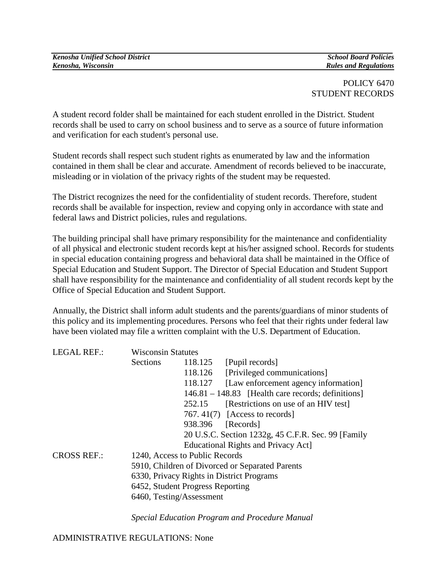#### POLICY 6470 STUDENT RECORDS

A student record folder shall be maintained for each student enrolled in the District. Student records shall be used to carry on school business and to serve as a source of future information and verification for each student's personal use.

Student records shall respect such student rights as enumerated by law and the information contained in them shall be clear and accurate. Amendment of records believed to be inaccurate, misleading or in violation of the privacy rights of the student may be requested.

The District recognizes the need for the confidentiality of student records. Therefore, student records shall be available for inspection, review and copying only in accordance with state and federal laws and District policies, rules and regulations.

The building principal shall have primary responsibility for the maintenance and confidentiality of all physical and electronic student records kept at his/her assigned school. Records for students in special education containing progress and behavioral data shall be maintained in the Office of Special Education and Student Support. The Director of Special Education and Student Support shall have responsibility for the maintenance and confidentiality of all student records kept by the Office of Special Education and Student Support.

Annually, the District shall inform adult students and the parents/guardians of minor students of this policy and its implementing procedures. Persons who feel that their rights under federal law have been violated may file a written complaint with the U.S. Department of Education.

| <b>Sections</b>    | 118.125 | [Pupil records]                                                                                                                                                                                                             |
|--------------------|---------|-----------------------------------------------------------------------------------------------------------------------------------------------------------------------------------------------------------------------------|
|                    | 118.126 | [Privileged communications]                                                                                                                                                                                                 |
|                    | 118.127 | [Law enforcement agency information]                                                                                                                                                                                        |
|                    |         | $146.81 - 148.83$ [Health care records; definitions]                                                                                                                                                                        |
|                    | 252.15  | [Restrictions on use of an HIV test]                                                                                                                                                                                        |
|                    |         | 767.41(7) [Access to records]                                                                                                                                                                                               |
|                    | 938.396 | [Records]                                                                                                                                                                                                                   |
|                    |         | 20 U.S.C. Section 1232g, 45 C.F.R. Sec. 99 [Family                                                                                                                                                                          |
|                    |         | Educational Rights and Privacy Act]                                                                                                                                                                                         |
| <b>CROSS REF.:</b> |         |                                                                                                                                                                                                                             |
|                    |         |                                                                                                                                                                                                                             |
|                    |         |                                                                                                                                                                                                                             |
|                    |         |                                                                                                                                                                                                                             |
|                    |         |                                                                                                                                                                                                                             |
|                    |         | <b>Wisconsin Statutes</b><br>1240, Access to Public Records<br>5910, Children of Divorced or Separated Parents<br>6330, Privacy Rights in District Programs<br>6452, Student Progress Reporting<br>6460, Testing/Assessment |

*Special Education Program and Procedure Manual*

ADMINISTRATIVE REGULATIONS: None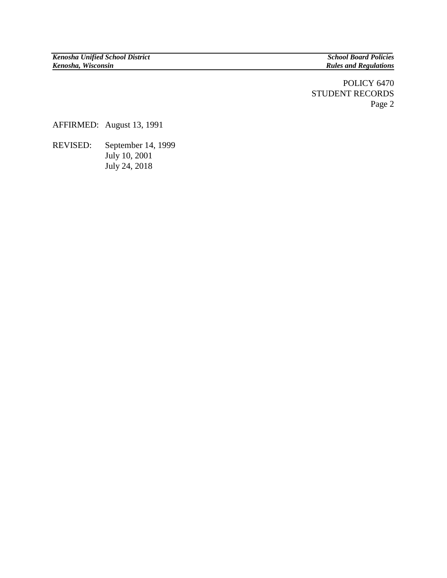## POLICY 6470 STUDENT RECORDS Page 2

AFFIRMED: August 13, 1991

REVISED: September 14, 1999 July 10, 2001 July 24, 2018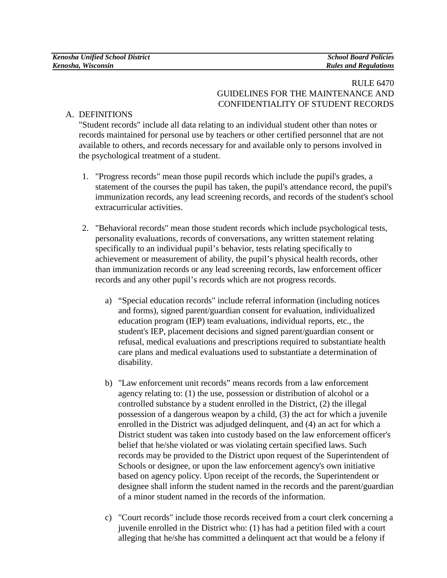## A. DEFINITIONS

"Student records" include all data relating to an individual student other than notes or records maintained for personal use by teachers or other certified personnel that are not available to others, and records necessary for and available only to persons involved in the psychological treatment of a student.

- 1. "Progress records" mean those pupil records which include the pupil's grades, a statement of the courses the pupil has taken, the pupil's attendance record, the pupil's immunization records, any lead screening records, and records of the student's school extracurricular activities.
- 2. "Behavioral records" mean those student records which include psychological tests, personality evaluations, records of conversations, any written statement relating specifically to an individual pupil's behavior, tests relating specifically to achievement or measurement of ability, the pupil's physical health records, other than immunization records or any lead screening records, law enforcement officer records and any other pupil's records which are not progress records.
	- a) "Special education records" include referral information (including notices and forms), signed parent/guardian consent for evaluation, individualized education program (IEP) team evaluations, individual reports, etc., the student's IEP, placement decisions and signed parent/guardian consent or refusal, medical evaluations and prescriptions required to substantiate health care plans and medical evaluations used to substantiate a determination of disability.
	- b) "Law enforcement unit records" means records from a law enforcement agency relating to: (1) the use, possession or distribution of alcohol or a controlled substance by a student enrolled in the District, (2) the illegal possession of a dangerous weapon by a child, (3) the act for which a juvenile enrolled in the District was adjudged delinquent, and (4) an act for which a District student was taken into custody based on the law enforcement officer's belief that he/she violated or was violating certain specified laws. Such records may be provided to the District upon request of the Superintendent of Schools or designee, or upon the law enforcement agency's own initiative based on agency policy. Upon receipt of the records, the Superintendent or designee shall inform the student named in the records and the parent/guardian of a minor student named in the records of the information.
	- c) "Court records" include those records received from a court clerk concerning a juvenile enrolled in the District who: (1) has had a petition filed with a court alleging that he/she has committed a delinquent act that would be a felony if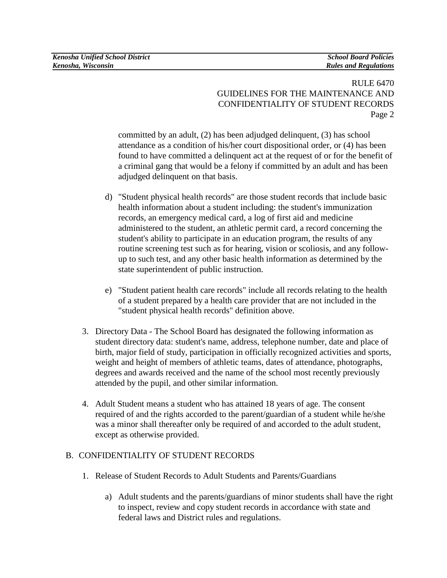committed by an adult, (2) has been adjudged delinquent, (3) has school attendance as a condition of his/her court dispositional order, or (4) has been found to have committed a delinquent act at the request of or for the benefit of a criminal gang that would be a felony if committed by an adult and has been adjudged delinquent on that basis.

- d) "Student physical health records" are those student records that include basic health information about a student including: the student's immunization records, an emergency medical card, a log of first aid and medicine administered to the student, an athletic permit card, a record concerning the student's ability to participate in an education program, the results of any routine screening test such as for hearing, vision or scoliosis, and any followup to such test, and any other basic health information as determined by the state superintendent of public instruction.
- e) "Student patient health care records" include all records relating to the health of a student prepared by a health care provider that are not included in the "student physical health records" definition above.
- 3. Directory Data The School Board has designated the following information as student directory data: student's name, address, telephone number, date and place of birth, major field of study, participation in officially recognized activities and sports, weight and height of members of athletic teams, dates of attendance, photographs, degrees and awards received and the name of the school most recently previously attended by the pupil, and other similar information.
- 4. Adult Student means a student who has attained 18 years of age. The consent required of and the rights accorded to the parent/guardian of a student while he/she was a minor shall thereafter only be required of and accorded to the adult student, except as otherwise provided.

# B. CONFIDENTIALITY OF STUDENT RECORDS

- 1. Release of Student Records to Adult Students and Parents/Guardians
	- a) Adult students and the parents/guardians of minor students shall have the right to inspect, review and copy student records in accordance with state and federal laws and District rules and regulations.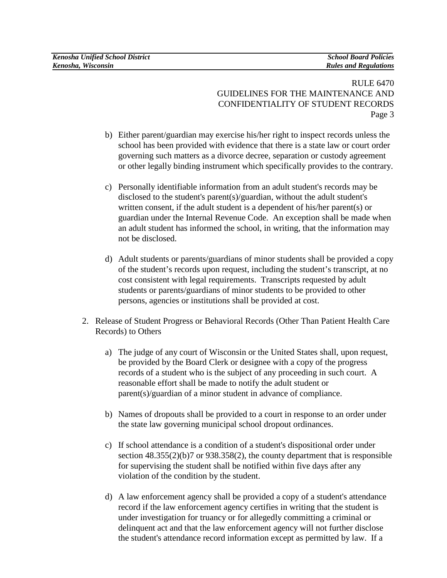- b) Either parent/guardian may exercise his/her right to inspect records unless the school has been provided with evidence that there is a state law or court order governing such matters as a divorce decree, separation or custody agreement or other legally binding instrument which specifically provides to the contrary.
- c) Personally identifiable information from an adult student's records may be disclosed to the student's parent(s)/guardian, without the adult student's written consent, if the adult student is a dependent of his/her parent(s) or guardian under the Internal Revenue Code. An exception shall be made when an adult student has informed the school, in writing, that the information may not be disclosed.
- d) Adult students or parents/guardians of minor students shall be provided a copy of the student's records upon request, including the student's transcript, at no cost consistent with legal requirements. Transcripts requested by adult students or parents/guardians of minor students to be provided to other persons, agencies or institutions shall be provided at cost.
- 2. Release of Student Progress or Behavioral Records (Other Than Patient Health Care Records) to Others
	- a) The judge of any court of Wisconsin or the United States shall, upon request, be provided by the Board Clerk or designee with a copy of the progress records of a student who is the subject of any proceeding in such court. A reasonable effort shall be made to notify the adult student or parent(s)/guardian of a minor student in advance of compliance.
	- b) Names of dropouts shall be provided to a court in response to an order under the state law governing municipal school dropout ordinances.
	- c) If school attendance is a condition of a student's dispositional order under section 48.355(2)(b)7 or 938.358(2), the county department that is responsible for supervising the student shall be notified within five days after any violation of the condition by the student.
	- d) A law enforcement agency shall be provided a copy of a student's attendance record if the law enforcement agency certifies in writing that the student is under investigation for truancy or for allegedly committing a criminal or delinquent act and that the law enforcement agency will not further disclose the student's attendance record information except as permitted by law.If a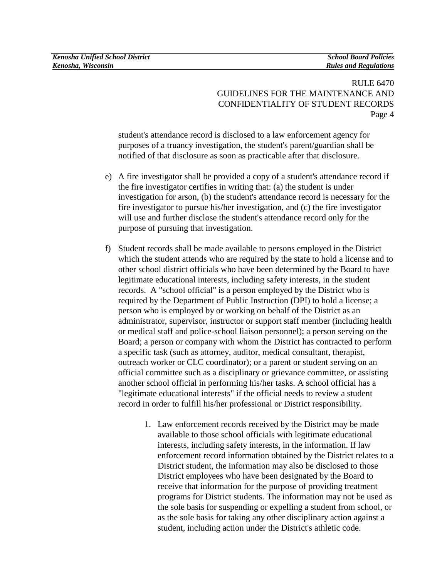student's attendance record is disclosed to a law enforcement agency for purposes of a truancy investigation, the student's parent/guardian shall be notified of that disclosure as soon as practicable after that disclosure.

- e) A fire investigator shall be provided a copy of a student's attendance record if the fire investigator certifies in writing that: (a) the student is under investigation for arson, (b) the student's attendance record is necessary for the fire investigator to pursue his/her investigation, and (c) the fire investigator will use and further disclose the student's attendance record only for the purpose of pursuing that investigation.
- f) Student records shall be made available to persons employed in the District which the student attends who are required by the state to hold a license and to other school district officials who have been determined by the Board to have legitimate educational interests, including safety interests, in the student records.A "school official" is a person employed by the District who is required by the Department of Public Instruction (DPI) to hold a license; a person who is employed by or working on behalf of the District as an administrator, supervisor, instructor or support staff member (including health or medical staff and police-school liaison personnel); a person serving on the Board; a person or company with whom the District has contracted to perform a specific task (such as attorney, auditor, medical consultant, therapist, outreach worker or CLC coordinator); or a parent or student serving on an official committee such as a disciplinary or grievance committee, or assisting another school official in performing his/her tasks. A school official has a "legitimate educational interests" if the official needs to review a student record in order to fulfill his/her professional or District responsibility.
	- 1. Law enforcement records received by the District may be made available to those school officials with legitimate educational interests, including safety interests, in the information. If law enforcement record information obtained by the District relates to a District student, the information may also be disclosed to those District employees who have been designated by the Board to receive that information for the purpose of providing treatment programs for District students. The information may not be used as the sole basis for suspending or expelling a student from school, or as the sole basis for taking any other disciplinary action against a student, including action under the District's athletic code.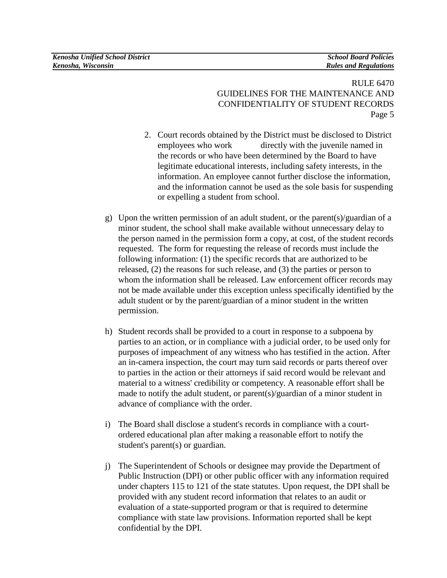- 2. Court records obtained by the District must be disclosed to District employees who work directly with the juvenile named in the records or who have been determined by the Board to have legitimate educational interests, including safety interests, in the information. An employee cannot further disclose the information, and the information cannot be used as the sole basis for suspending or expelling a student from school.
- g) Upon the written permission of an adult student, or the parent(s)/guardian of a minor student, the school shall make available without unnecessary delay to the person named in the permission form a copy, at cost, of the student records requested. The form for requesting the release of records must include the following information: (1) the specific records that are authorized to be released, (2) the reasons for such release, and (3) the parties or person to whom the information shall be released. Law enforcement officer records may not be made available under this exception unless specifically identified by the adult student or by the parent/guardian of a minor student in the written permission.
- h) Student records shall be provided to a court in response to a subpoena by parties to an action, or in compliance with a judicial order, to be used only for purposes of impeachment of any witness who has testified in the action. After an in-camera inspection, the court may turn said records or parts thereof over to parties in the action or their attorneys if said record would be relevant and material to a witness' credibility or competency. A reasonable effort shall be made to notify the adult student, or parent(s)/guardian of a minor student in advance of compliance with the order.
- i) The Board shall disclose a student's records in compliance with a courtordered educational plan after making a reasonable effort to notify the student's parent(s) or guardian.
- j) The Superintendent of Schools or designee may provide the Department of Public Instruction (DPI) or other public officer with any information required under chapters 115 to 121 of the state statutes. Upon request, the DPI shall be provided with any student record information that relates to an audit or evaluation of a state-supported program or that is required to determine compliance with state law provisions. Information reported shall be kept confidential by the DPI.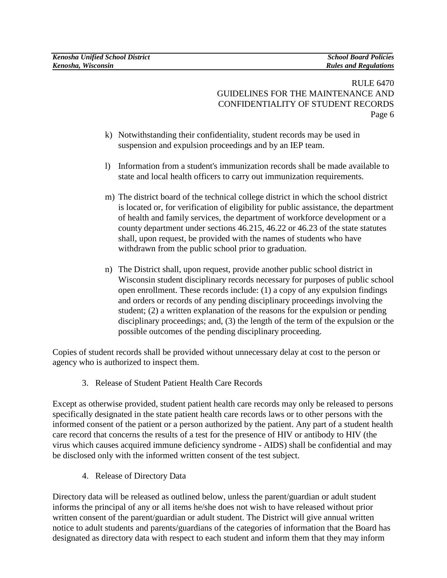- k) Notwithstanding their confidentiality, student records may be used in suspension and expulsion proceedings and by an IEP team.
- l) Information from a student's immunization records shall be made available to state and local health officers to carry out immunization requirements.
- m) The district board of the technical college district in which the school district is located or, for verification of eligibility for public assistance, the department of health and family services, the department of workforce development or a county department under sections 46.215, 46.22 or 46.23 of the state statutes shall, upon request, be provided with the names of students who have withdrawn from the public school prior to graduation.
- n) The District shall, upon request, provide another public school district in Wisconsin student disciplinary records necessary for purposes of public school open enrollment. These records include: (1) a copy of any expulsion findings and orders or records of any pending disciplinary proceedings involving the student; (2) a written explanation of the reasons for the expulsion or pending disciplinary proceedings; and, (3) the length of the term of the expulsion or the possible outcomes of the pending disciplinary proceeding.

Copies of student records shall be provided without unnecessary delay at cost to the person or agency who is authorized to inspect them.

3. Release of Student Patient Health Care Records

Except as otherwise provided, student patient health care records may only be released to persons specifically designated in the state patient health care records laws or to other persons with the informed consent of the patient or a person authorized by the patient. Any part of a student health care record that concerns the results of a test for the presence of HIV or antibody to HIV (the virus which causes acquired immune deficiency syndrome - AIDS) shall be confidential and may be disclosed only with the informed written consent of the test subject.

4. Release of Directory Data

Directory data will be released as outlined below, unless the parent/guardian or adult student informs the principal of any or all items he/she does not wish to have released without prior written consent of the parent/guardian or adult student. The District will give annual written notice to adult students and parents/guardians of the categories of information that the Board has designated as directory data with respect to each student and inform them that they may inform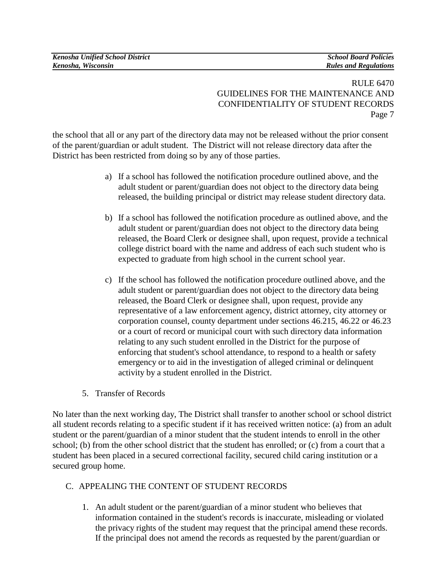the school that all or any part of the directory data may not be released without the prior consent of the parent/guardian or adult student. The District will not release directory data after the District has been restricted from doing so by any of those parties.

- a) If a school has followed the notification procedure outlined above, and the adult student or parent/guardian does not object to the directory data being released, the building principal or district may release student directory data.
- b) If a school has followed the notification procedure as outlined above, and the adult student or parent/guardian does not object to the directory data being released, the Board Clerk or designee shall, upon request, provide a technical college district board with the name and address of each such student who is expected to graduate from high school in the current school year.
- c) If the school has followed the notification procedure outlined above, and the adult student or parent/guardian does not object to the directory data being released, the Board Clerk or designee shall, upon request, provide any representative of a law enforcement agency, district attorney, city attorney or corporation counsel, county department under sections 46.215, 46.22 or 46.23 or a court of record or municipal court with such directory data information relating to any such student enrolled in the District for the purpose of enforcing that student's school attendance*,* to respond to a health or safety emergency or to aid in the investigation of alleged criminal or delinquent activity by a student enrolled in the District.
- 5. Transfer of Records

No later than the next working day, The District shall transfer to another school or school district all student records relating to a specific student if it has received written notice: (a) from an adult student or the parent/guardian of a minor student that the student intends to enroll in the other school; (b) from the other school district that the student has enrolled; or (c) from a court that a student has been placed in a secured correctional facility, secured child caring institution or a secured group home.

# C. APPEALING THE CONTENT OF STUDENT RECORDS

1. An adult student or the parent/guardian of a minor student who believes that information contained in the student's records is inaccurate, misleading or violated the privacy rights of the student may request that the principal amend these records. If the principal does not amend the records as requested by the parent/guardian or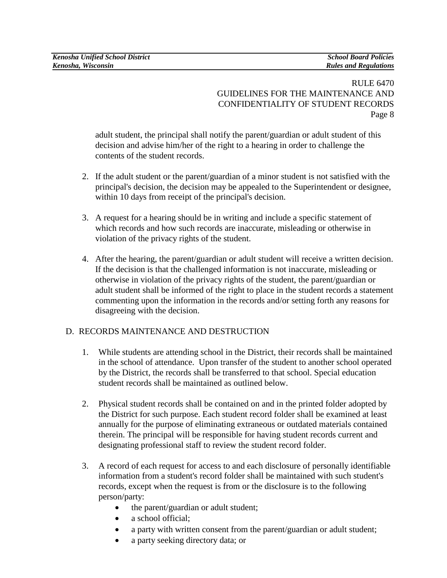adult student, the principal shall notify the parent/guardian or adult student of this decision and advise him/her of the right to a hearing in order to challenge the contents of the student records.

- 2. If the adult student or the parent/guardian of a minor student is not satisfied with the principal's decision, the decision may be appealed to the Superintendent or designee, within 10 days from receipt of the principal's decision.
- 3. A request for a hearing should be in writing and include a specific statement of which records and how such records are inaccurate, misleading or otherwise in violation of the privacy rights of the student.
- 4. After the hearing, the parent/guardian or adult student will receive a written decision. If the decision is that the challenged information is not inaccurate, misleading or otherwise in violation of the privacy rights of the student, the parent/guardian or adult student shall be informed of the right to place in the student records a statement commenting upon the information in the records and/or setting forth any reasons for disagreeing with the decision.

# D. RECORDS MAINTENANCE AND DESTRUCTION

- 1. While students are attending school in the District, their records shall be maintained in the school of attendance. Upon transfer of the student to another school operated by the District, the records shall be transferred to that school. Special education student records shall be maintained as outlined below.
- 2. Physical student records shall be contained on and in the printed folder adopted by the District for such purpose. Each student record folder shall be examined at least annually for the purpose of eliminating extraneous or outdated materials contained therein. The principal will be responsible for having student records current and designating professional staff to review the student record folder.
- 3. A record of each request for access to and each disclosure of personally identifiable information from a student's record folder shall be maintained with such student's records, except when the request is from or the disclosure is to the following person/party:
	- the parent/guardian or adult student;
	- a school official;
	- a party with written consent from the parent/guardian or adult student;
	- a party seeking directory data; or